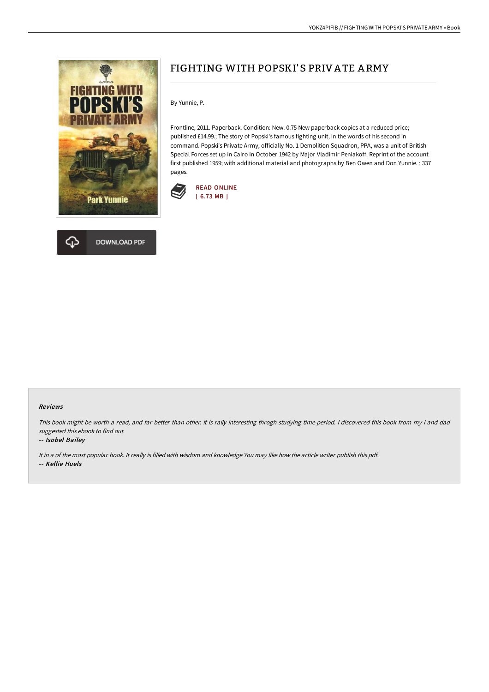

## ঞ **DOWNLOAD PDF**

# FIGHTING WITH POPSKI'S PRIV A TE A RMY

By Yunnie, P.

Frontline, 2011. Paperback. Condition: New. 0.75 New paperback copies at a reduced price; published £14.99.; The story of Popski's famous fighting unit, in the words of his second in command. Popski's Private Army, officially No. 1 Demolition Squadron, PPA, was a unit of British Special Forces set up in Cairo in October 1942 by Major Vladimir Peniakoff. Reprint of the account first published 1959; with additional material and photographs by Ben Owen and Don Yunnie. ; 337 pages.



#### Reviews

This book might be worth <sup>a</sup> read, and far better than other. It is rally interesting throgh studying time period. <sup>I</sup> discovered this book from my i and dad suggested this ebook to find out.

#### -- Isobel Bailey

It in <sup>a</sup> of the most popular book. It really is filled with wisdom and knowledge You may like how the article writer publish this pdf. -- Kellie Huels